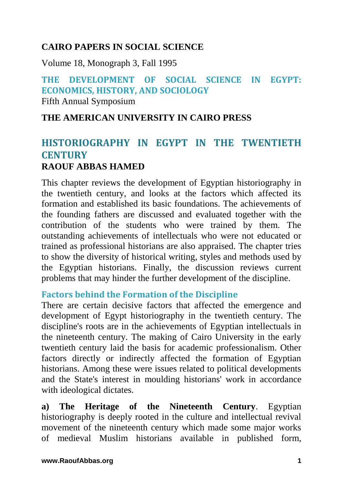## **CAIRO PAPERS IN SOCIAL SCIENCE**

Volume 18, Monograph 3, Fall 1995

# **THE DEVELOPMENT OF SOCIAL SCIENCE IN EGYPT: ECONOMICS, HISTORY, AND SOCIOLOGY**

Fifth Annual Symposium

#### **THE AMERICAN UNIVERSITY IN CAIRO PRESS**

## **HISTORIOGRAPHY IN EGYPT IN THE TWENTIETH CENTURY RAOUF ABBAS HAMED**

This chapter reviews the development of Egyptian historiography in the twentieth century, and looks at the factors which affected its formation and established its basic foundations. The achievements of the founding fathers are discussed and evaluated together with the contribution of the students who were trained by them. The outstanding achievements of intellectuals who were not educated or trained as professional historians are also appraised. The chapter tries to show the diversity of historical writing, styles and methods used by the Egyptian historians. Finally, the discussion reviews current problems that may hinder the further development of the discipline.

#### **Factors behind the Formation of the Discipline**

There are certain decisive factors that affected the emergence and development of Egypt historiography in the twentieth century. The discipline's roots are in the achievements of Egyptian intellectuals in the nineteenth century. The making of Cairo University in the early twentieth century laid the basis for academic professionalism. Other factors directly or indirectly affected the formation of Egyptian historians. Among these were issues related to political developments and the State's interest in moulding historians' work in accordance with ideological dictates.

**a) The Heritage of the Nineteenth Century**. Egyptian historiography is deeply rooted in the culture and intellectual revival movement of the nineteenth century which made some major works of medieval Muslim historians available in published form,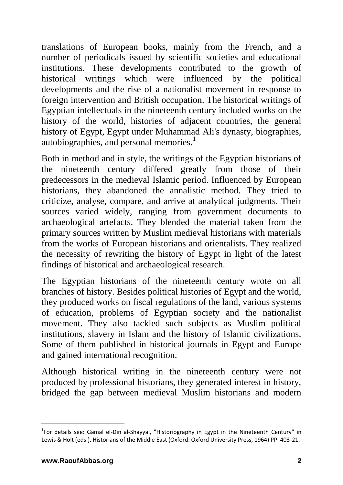translations of European books, mainly from the French, and a number of periodicals issued by scientific societies and educational institutions. These developments contributed to the growth of historical writings which were influenced by the political developments and the rise of a nationalist movement in response to foreign intervention and British occupation. The historical writings of Egyptian intellectuals in the nineteenth century included works on the history of the world, histories of adjacent countries, the general history of Egypt, Egypt under Muhammad Ali's dynasty, biographies, autobiographies, and personal memories.<sup>1</sup>

Both in method and in style, the writings of the Egyptian historians of the nineteenth century differed greatly from those of their predecessors in the medieval Islamic period. Influenced by European historians, they abandoned the annalistic method. They tried to criticize, analyse, compare, and arrive at analytical judgments. Their sources varied widely, ranging from government documents to archaeological artefacts. They blended the material taken from the primary sources written by Muslim medieval historians with materials from the works of European historians and orientalists. They realized the necessity of rewriting the history of Egypt in light of the latest findings of historical and archaeological research.

The Egyptian historians of the nineteenth century wrote on all branches of history. Besides political histories of Egypt and the world, they produced works on fiscal regulations of the land, various systems of education, problems of Egyptian society and the nationalist movement. They also tackled such subjects as Muslim political institutions, slavery in Islam and the history of Islamic civilizations. Some of them published in historical journals in Egypt and Europe and gained international recognition.

Although historical writing in the nineteenth century were not produced by professional historians, they generated interest in history, bridged the gap between medieval Muslim historians and modern

<sup>&</sup>lt;sup>1</sup>For details see: Gamal el-Din al-Shayyal, "Historiography in Egypt in the Nineteenth Century" in Lewis & Holt (eds.), Historians of the Middle East (Oxford: Oxford University Press, 1964) PP. 403-21.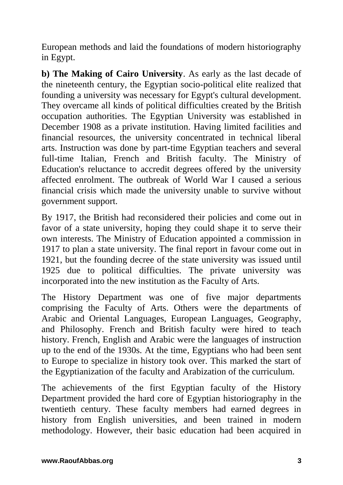European methods and laid the foundations of modern historiography in Egypt.

**b) The Making of Cairo University**. As early as the last decade of the nineteenth century, the Egyptian socio-political elite realized that founding a university was necessary for Egypt's cultural development. They overcame all kinds of political difficulties created by the British occupation authorities. The Egyptian University was established in December 1908 as a private institution. Having limited facilities and financial resources, the university concentrated in technical liberal arts. Instruction was done by part-time Egyptian teachers and several full-time Italian, French and British faculty. The Ministry of Education's reluctance to accredit degrees offered by the university affected enrolment. The outbreak of World War I caused a serious financial crisis which made the university unable to survive without government support.

By 1917, the British had reconsidered their policies and come out in favor of a state university, hoping they could shape it to serve their own interests. The Ministry of Education appointed a commission in 1917 to plan a state university. The final report in favour come out in 1921, but the founding decree of the state university was issued until 1925 due to political difficulties. The private university was incorporated into the new institution as the Faculty of Arts.

The History Department was one of five major departments comprising the Faculty of Arts. Others were the departments of Arabic and Oriental Languages, European Languages, Geography, and Philosophy. French and British faculty were hired to teach history. French, English and Arabic were the languages of instruction up to the end of the 1930s. At the time, Egyptians who had been sent to Europe to specialize in history took over. This marked the start of the Egyptianization of the faculty and Arabization of the curriculum.

The achievements of the first Egyptian faculty of the History Department provided the hard core of Egyptian historiography in the twentieth century. These faculty members had earned degrees in history from English universities, and been trained in modern methodology. However, their basic education had been acquired in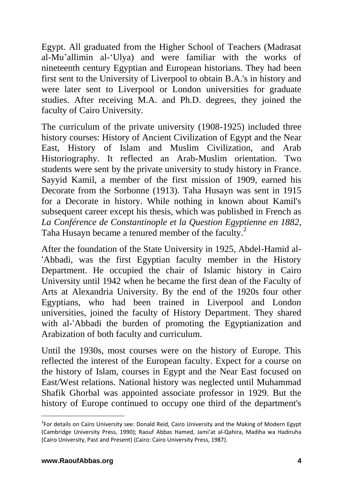Egypt. All graduated from the Higher School of Teachers (Madrasat al-Mu'allimin al-'Ulya) and were familiar with the works of nineteenth century Egyptian and European historians. They had been first sent to the University of Liverpool to obtain B.A.'s in history and were later sent to Liverpool or London universities for graduate studies. After receiving M.A. and Ph.D. degrees, they joined the faculty of Cairo University.

The curriculum of the private university (1908-1925) included three history courses: History of Ancient Civilization of Egypt and the Near East, History of Islam and Muslim Civilization, and Arab Historiography. It reflected an Arab-Muslim orientation. Two students were sent by the private university to study history in France. Sayyid Kamil, a member of the first mission of 1909, earned his Decorate from the Sorbonne (1913). Taha Husayn was sent in 1915 for a Decorate in history. While nothing in known about Kamil's subsequent career except his thesis, which was published in French as *La Conférence de Constantinople et la Question Egyptienne en 1882*, Taha Husayn became a tenured member of the faculty.<sup>2</sup>

After the foundation of the State University in 1925, Abdel-Hamid al- 'Abbadi, was the first Egyptian faculty member in the History Department. He occupied the chair of Islamic history in Cairo University until 1942 when he became the first dean of the Faculty of Arts at Alexandria University. By the end of the 1920s four other Egyptians, who had been trained in Liverpool and London universities, joined the faculty of History Department. They shared with al-'Abbadi the burden of promoting the Egyptianization and Arabization of both faculty and curriculum.

Until the 1930s, most courses were on the history of Europe. This reflected the interest of the European faculty. Expect for a course on the history of Islam, courses in Egypt and the Near East focused on East/West relations. National history was neglected until Muhammad Shafik Ghorbal was appointed associate professor in 1929. But the history of Europe continued to occupy one third of the department's

<sup>&</sup>lt;sup>2</sup>For details on Cairo University see: Donald Reid, Cairo University and the Making of Modern Egypt (Cambridge University Press, 1990); Raouf Abbas Hamed, Jami'at al-Qahira, Madiha wa Hadiruha (Cairo University, Past and Present) (Cairo: Cairo University Press, 1987).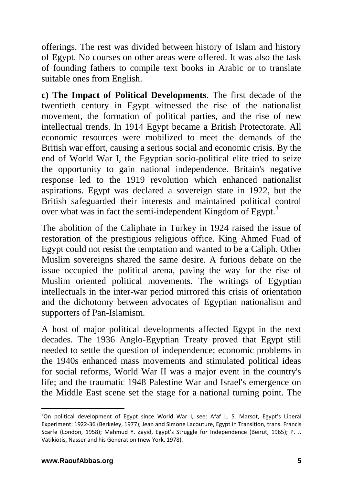offerings. The rest was divided between history of Islam and history of Egypt. No courses on other areas were offered. It was also the task of founding fathers to compile text books in Arabic or to translate suitable ones from English.

**c) The Impact of Political Developments**. The first decade of the twentieth century in Egypt witnessed the rise of the nationalist movement, the formation of political parties, and the rise of new intellectual trends. In 1914 Egypt became a British Protectorate. All economic resources were mobilized to meet the demands of the British war effort, causing a serious social and economic crisis. By the end of World War I, the Egyptian socio-political elite tried to seize the opportunity to gain national independence. Britain's negative response led to the 1919 revolution which enhanced nationalist aspirations. Egypt was declared a sovereign state in 1922, but the British safeguarded their interests and maintained political control over what was in fact the semi-independent Kingdom of Egypt.<sup>3</sup>

The abolition of the Caliphate in Turkey in 1924 raised the issue of restoration of the prestigious religious office. King Ahmed Fuad of Egypt could not resist the temptation and wanted to be a Caliph. Other Muslim sovereigns shared the same desire. A furious debate on the issue occupied the political arena, paving the way for the rise of Muslim oriented political movements. The writings of Egyptian intellectuals in the inter-war period mirrored this crisis of orientation and the dichotomy between advocates of Egyptian nationalism and supporters of Pan-Islamism.

A host of major political developments affected Egypt in the next decades. The 1936 Anglo-Egyptian Treaty proved that Egypt still needed to settle the question of independence; economic problems in the 1940s enhanced mass movements and stimulated political ideas for social reforms, World War II was a major event in the country's life; and the traumatic 1948 Palestine War and Israel's emergence on the Middle East scene set the stage for a national turning point. The

<sup>&</sup>lt;sup>3</sup>On political development of Egypt since World War I, see: Afaf L. S. Marsot, Egypt's Liberal Experiment: 1922-36 (Berkeley, 1977); Jean and Simone Lacouture, Egypt in Transition, trans. Francis Scarfe (London, 1958); Mahmud Y. Zayid, Egypt's Struggle for Independence (Beirut, 1965); P. J. Vatikiotis, Nasser and his Generation (new York, 1978).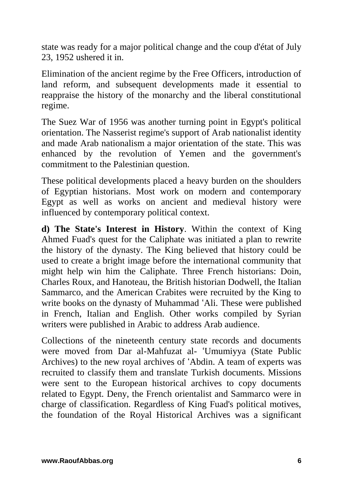state was ready for a major political change and the coup d'état of July 23, 1952 ushered it in.

Elimination of the ancient regime by the Free Officers, introduction of land reform, and subsequent developments made it essential to reappraise the history of the monarchy and the liberal constitutional regime.

The Suez War of 1956 was another turning point in Egypt's political orientation. The Nasserist regime's support of Arab nationalist identity and made Arab nationalism a major orientation of the state. This was enhanced by the revolution of Yemen and the government's commitment to the Palestinian question.

These political developments placed a heavy burden on the shoulders of Egyptian historians. Most work on modern and contemporary Egypt as well as works on ancient and medieval history were influenced by contemporary political context.

**d) The State's Interest in History**. Within the context of King Ahmed Fuad's quest for the Caliphate was initiated a plan to rewrite the history of the dynasty. The King believed that history could be used to create a bright image before the international community that might help win him the Caliphate. Three French historians: Doin, Charles Roux, and Hanoteau, the British historian Dodwell, the Italian Sammarco, and the American Crabites were recruited by the King to write books on the dynasty of Muhammad 'Ali. These were published in French, Italian and English. Other works compiled by Syrian writers were published in Arabic to address Arab audience.

Collections of the nineteenth century state records and documents were moved from Dar al-Mahfuzat al- 'Umumiyya (State Public Archives) to the new royal archives of 'Abdin. A team of experts was recruited to classify them and translate Turkish documents. Missions were sent to the European historical archives to copy documents related to Egypt. Deny, the French orientalist and Sammarco were in charge of classification. Regardless of King Fuad's political motives, the foundation of the Royal Historical Archives was a significant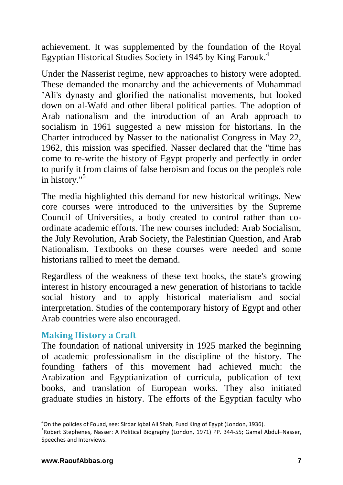achievement. It was supplemented by the foundation of the Royal Egyptian Historical Studies Society in 1945 by King Farouk.<sup>4</sup>

Under the Nasserist regime, new approaches to history were adopted. These demanded the monarchy and the achievements of Muhammad 'Ali's dynasty and glorified the nationalist movements, but looked down on al-Wafd and other liberal political parties. The adoption of Arab nationalism and the introduction of an Arab approach to socialism in 1961 suggested a new mission for historians. In the Charter introduced by Nasser to the nationalist Congress in May 22, 1962, this mission was specified. Nasser declared that the "time has come to re-write the history of Egypt properly and perfectly in order to purify it from claims of false heroism and focus on the people's role in history."<sup>5</sup>

The media highlighted this demand for new historical writings. New core courses were introduced to the universities by the Supreme Council of Universities, a body created to control rather than coordinate academic efforts. The new courses included: Arab Socialism, the July Revolution, Arab Society, the Palestinian Question, and Arab Nationalism. Textbooks on these courses were needed and some historians rallied to meet the demand.

Regardless of the weakness of these text books, the state's growing interest in history encouraged a new generation of historians to tackle social history and to apply historical materialism and social interpretation. Studies of the contemporary history of Egypt and other Arab countries were also encouraged.

#### **Making History a Craft**

The foundation of national university in 1925 marked the beginning of academic professionalism in the discipline of the history. The founding fathers of this movement had achieved much: the Arabization and Egyptianization of curricula, publication of text books, and translation of European works. They also initiated graduate studies in history. The efforts of the Egyptian faculty who

<sup>&</sup>lt;sup>4</sup>On the policies of Fouad, see: Sirdar Iqbal Ali Shah, Fuad King of Egypt (London, 1936).

<sup>5</sup> Robert Stephenes, Nasser: A Political Biography (London, 1971) PP. 344-55; Gamal Abdul–Nasser, Speeches and Interviews.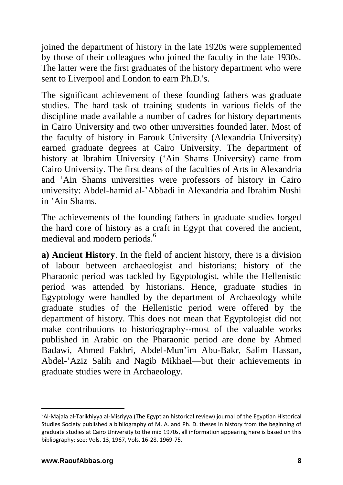joined the department of history in the late 1920s were supplemented by those of their colleagues who joined the faculty in the late 1930s. The latter were the first graduates of the history department who were sent to Liverpool and London to earn Ph.D.'s.

The significant achievement of these founding fathers was graduate studies. The hard task of training students in various fields of the discipline made available a number of cadres for history departments in Cairo University and two other universities founded later. Most of the faculty of history in Farouk University (Alexandria University) earned graduate degrees at Cairo University. The department of history at Ibrahim University ('Ain Shams University) came from Cairo University. The first deans of the faculties of Arts in Alexandria and 'Ain Shams universities were professors of history in Cairo university: Abdel-hamid al-'Abbadi in Alexandria and Ibrahim Nushi in 'Ain Shams.

The achievements of the founding fathers in graduate studies forged the hard core of history as a craft in Egypt that covered the ancient, medieval and modern periods.<sup>6</sup>

**a) Ancient History**. In the field of ancient history, there is a division of labour between archaeologist and historians; history of the Pharaonic period was tackled by Egyptologist, while the Hellenistic period was attended by historians. Hence, graduate studies in Egyptology were handled by the department of Archaeology while graduate studies of the Hellenistic period were offered by the department of history. This does not mean that Egyptologist did not make contributions to historiography--most of the valuable works published in Arabic on the Pharaonic period are done by Ahmed Badawi, Ahmed Fakhri, Abdel-Mun'im Abu-Bakr, Salim Hassan, Abdel-'Aziz Salih and Nagib Mikhael—but their achievements in graduate studies were in Archaeology.

<sup>6</sup> Al-Majala al-Tarikhiyya al-Misriyya (The Egyptian historical review) journal of the Egyptian Historical Studies Society published a bibliography of M. A. and Ph. D. theses in history from the beginning of graduate studies at Cairo University to the mid 1970s, all information appearing here is based on this bibliography; see: Vols. 13, 1967, Vols. 16-28. 1969-75.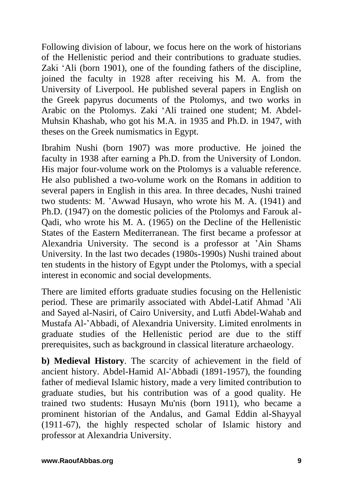Following division of labour, we focus here on the work of historians of the Hellenistic period and their contributions to graduate studies. Zaki 'Ali (born 1901), one of the founding fathers of the discipline, joined the faculty in 1928 after receiving his M. A. from the University of Liverpool. He published several papers in English on the Greek papyrus documents of the Ptolomys, and two works in Arabic on the Ptolomys. Zaki 'Ali trained one student; M. Abdel-Muhsin Khashab, who got his M.A. in 1935 and Ph.D. in 1947, with theses on the Greek numismatics in Egypt.

Ibrahim Nushi (born 1907) was more productive. He joined the faculty in 1938 after earning a Ph.D. from the University of London. His major four-volume work on the Ptolomys is a valuable reference. He also published a two-volume work on the Romans in addition to several papers in English in this area. In three decades, Nushi trained two students: M. 'Awwad Husayn, who wrote his M. A. (1941) and Ph.D. (1947) on the domestic policies of the Ptolomys and Farouk al-Qadi, who wrote his M. A. (1965) on the Decline of the Hellenistic States of the Eastern Mediterranean. The first became a professor at Alexandria University. The second is a professor at 'Ain Shams University. In the last two decades (1980s-1990s) Nushi trained about ten students in the history of Egypt under the Ptolomys, with a special interest in economic and social developments.

There are limited efforts graduate studies focusing on the Hellenistic period. These are primarily associated with Abdel-Latif Ahmad 'Ali and Sayed al-Nasiri, of Cairo University, and Lutfi Abdel-Wahab and Mustafa Al-'Abbadi, of Alexandria University. Limited enrolments in graduate studies of the Hellenistic period are due to the stiff prerequisites, such as background in classical literature archaeology.

**b) Medieval History**. The scarcity of achievement in the field of ancient history. Abdel-Hamid Al-'Abbadi (1891-1957), the founding father of medieval Islamic history, made a very limited contribution to graduate studies, but his contribution was of a good quality. He trained two students: Husayn Mu'nis (born 1911), who became a prominent historian of the Andalus, and Gamal Eddin al-Shayyal (1911-67), the highly respected scholar of Islamic history and professor at Alexandria University.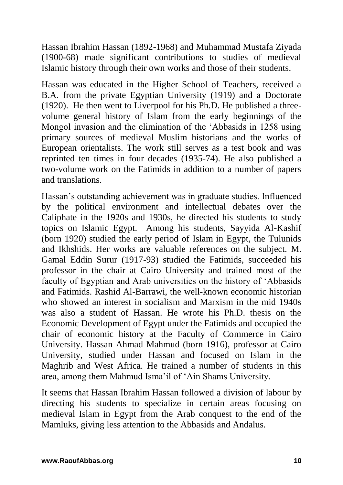Hassan Ibrahim Hassan (1892-1968) and Muhammad Mustafa Ziyada (1900-68) made significant contributions to studies of medieval Islamic history through their own works and those of their students.

Hassan was educated in the Higher School of Teachers, received a B.A. from the private Egyptian University (1919) and a Doctorate (1920). He then went to Liverpool for his Ph.D. He published a threevolume general history of Islam from the early beginnings of the Mongol invasion and the elimination of the 'Abbasids in 1258 using primary sources of medieval Muslim historians and the works of European orientalists. The work still serves as a test book and was reprinted ten times in four decades (1935-74). He also published a two-volume work on the Fatimids in addition to a number of papers and translations.

Hassan's outstanding achievement was in graduate studies. Influenced by the political environment and intellectual debates over the Caliphate in the 1920s and 1930s, he directed his students to study topics on Islamic Egypt. Among his students, Sayyida Al-Kashif (born 1920) studied the early period of Islam in Egypt, the Tulunids and Ikhshids. Her works are valuable references on the subject. M. Gamal Eddin Surur (1917-93) studied the Fatimids, succeeded his professor in the chair at Cairo University and trained most of the faculty of Egyptian and Arab universities on the history of 'Abbasids and Fatimids. Rashid Al-Barrawi, the well-known economic historian who showed an interest in socialism and Marxism in the mid 1940s was also a student of Hassan. He wrote his Ph.D. thesis on the Economic Development of Egypt under the Fatimids and occupied the chair of economic history at the Faculty of Commerce in Cairo University. Hassan Ahmad Mahmud (born 1916), professor at Cairo University, studied under Hassan and focused on Islam in the Maghrib and West Africa. He trained a number of students in this area, among them Mahmud Isma'il of 'Ain Shams University.

It seems that Hassan Ibrahim Hassan followed a division of labour by directing his students to specialize in certain areas focusing on medieval Islam in Egypt from the Arab conquest to the end of the Mamluks, giving less attention to the Abbasids and Andalus.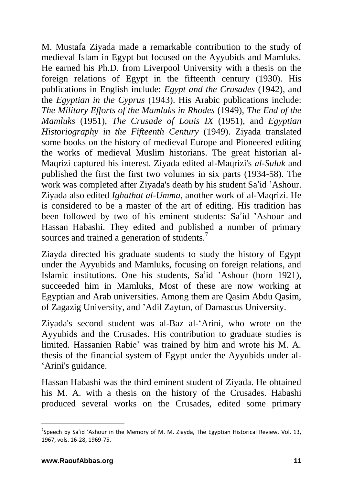M. Mustafa Ziyada made a remarkable contribution to the study of medieval Islam in Egypt but focused on the Ayyubids and Mamluks. He earned his Ph.D. from Liverpool University with a thesis on the foreign relations of Egypt in the fifteenth century (1930). His publications in English include: *Egypt and the Crusades* (1942), and the *Egyptian in the Cyprus* (1943). His Arabic publications include: *The Military Efforts of the Mamluks in Rhodes* (1949), *The End of the Mamluks* (1951), *The Crusade of Louis IX* (1951), and *Egyptian Historiography in the Fifteenth Century* (1949). Ziyada translated some books on the history of medieval Europe and Pioneered editing the works of medieval Muslim historians. The great historian al-Maqrizi captured his interest. Ziyada edited al-Maqrizi's *al-Suluk* and published the first the first two volumes in six parts (1934-58). The work was completed after Ziyada's death by his student Sa'id 'Ashour. Ziyada also edited *Ighathat al-Umma*, another work of al-Maqrizi. He is considered to be a master of the art of editing. His tradition has been followed by two of his eminent students: Sa'id 'Ashour and Hassan Habashi. They edited and published a number of primary sources and trained a generation of students.<sup>7</sup>

Ziayda directed his graduate students to study the history of Egypt under the Ayyubids and Mamluks, focusing on foreign relations, and Islamic institutions. One his students, Sa'id 'Ashour (born 1921), succeeded him in Mamluks, Most of these are now working at Egyptian and Arab universities. Among them are Qasim Abdu Qasim, of Zagazig University, and 'Adil Zaytun, of Damascus University.

Ziyada's second student was al-Baz al-'Arini, who wrote on the Ayyubids and the Crusades. His contribution to graduate studies is limited. Hassanien Rabie' was trained by him and wrote his M. A. thesis of the financial system of Egypt under the Ayyubids under al- 'Arini's guidance.

Hassan Habashi was the third eminent student of Ziyada. He obtained his M. A. with a thesis on the history of the Crusades. Habashi produced several works on the Crusades, edited some primary

<sup>&</sup>lt;sup>7</sup>Speech by Sa'id 'Ashour in the Memory of M. M. Ziayda, The Egyptian Historical Review, Vol. 13, 1967, vols. 16-28, 1969-75.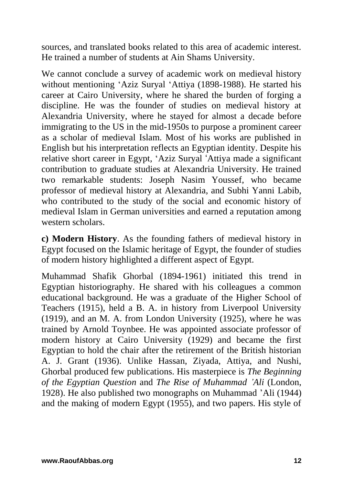sources, and translated books related to this area of academic interest. He trained a number of students at Ain Shams University.

We cannot conclude a survey of academic work on medieval history without mentioning 'Aziz Suryal 'Attiya (1898-1988). He started his career at Cairo University, where he shared the burden of forging a discipline. He was the founder of studies on medieval history at Alexandria University, where he stayed for almost a decade before immigrating to the US in the mid-1950s to purpose a prominent career as a scholar of medieval Islam. Most of his works are published in English but his interpretation reflects an Egyptian identity. Despite his relative short career in Egypt, 'Aziz Suryal 'Attiya made a significant contribution to graduate studies at Alexandria University. He trained two remarkable students: Joseph Nasim Youssef, who became professor of medieval history at Alexandria, and Subhi Yanni Labib, who contributed to the study of the social and economic history of medieval Islam in German universities and earned a reputation among western scholars.

**c) Modern History**. As the founding fathers of medieval history in Egypt focused on the Islamic heritage of Egypt, the founder of studies of modern history highlighted a different aspect of Egypt.

Muhammad Shafik Ghorbal (1894-1961) initiated this trend in Egyptian historiography. He shared with his colleagues a common educational background. He was a graduate of the Higher School of Teachers (1915), held a B. A. in history from Liverpool University (1919), and an M. A. from London University (1925), where he was trained by Arnold Toynbee. He was appointed associate professor of modern history at Cairo University (1929) and became the first Egyptian to hold the chair after the retirement of the British historian A. J. Grant (1936). Unlike Hassan, Ziyada, Attiya, and Nushi, Ghorbal produced few publications. His masterpiece is *The Beginning of the Egyptian Question* and *The Rise of Muhammad 'Ali* (London, 1928). He also published two monographs on Muhammad 'Ali (1944) and the making of modern Egypt (1955), and two papers. His style of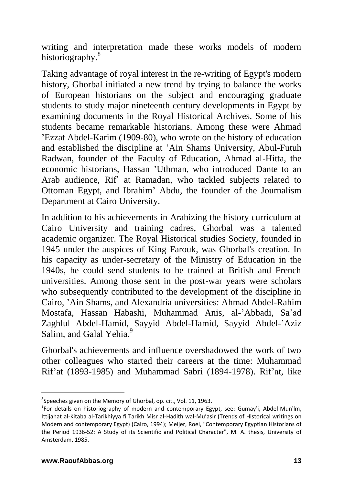writing and interpretation made these works models of modern historiography.<sup>8</sup>

Taking advantage of royal interest in the re-writing of Egypt's modern history, Ghorbal initiated a new trend by trying to balance the works of European historians on the subject and encouraging graduate students to study major nineteenth century developments in Egypt by examining documents in the Royal Historical Archives. Some of his students became remarkable historians. Among these were Ahmad 'Ezzat Abdel-Karim (1909-80), who wrote on the history of education and established the discipline at 'Ain Shams University, Abul-Futuh Radwan, founder of the Faculty of Education, Ahmad al-Hitta, the economic historians, Hassan 'Uthman, who introduced Dante to an Arab audience, Rif' at Ramadan, who tackled subjects related to Ottoman Egypt, and Ibrahim' Abdu, the founder of the Journalism Department at Cairo University.

In addition to his achievements in Arabizing the history curriculum at Cairo University and training cadres, Ghorbal was a talented academic organizer. The Royal Historical studies Society, founded in 1945 under the auspices of King Farouk, was Ghorbal's creation. In his capacity as under-secretary of the Ministry of Education in the 1940s, he could send students to be trained at British and French universities. Among those sent in the post-war years were scholars who subsequently contributed to the development of the discipline in Cairo, 'Ain Shams, and Alexandria universities: Ahmad Abdel-Rahim Mostafa, Hassan Habashi, Muhammad Anis, al-'Abbadi, Sa'ad Zaghlul Abdel-Hamid, Sayyid Abdel-Hamid, Sayyid Abdel-'Aziz Salim, and Galal Yehia.<sup>9</sup>

Ghorbal's achievements and influence overshadowed the work of two other colleagues who started their careers at the time: Muhammad Rif'at (1893-1985) and Muhammad Sabri (1894-1978). Rif'at, like

<sup>&</sup>lt;sup>8</sup>Speeches given on the Memory of Ghorbal, op. cit., Vol. 11, 1963.

<sup>&</sup>lt;sup>9</sup>For details on historiography of modern and contemporary Egypt, see: Gumay'i, Abdel-Mun'im, Ittijahat al-Kitaba al-Tarikhiyya fi Tarikh Misr al-Hadith wal-Mu'asir (Trends of Historical writings on Modern and contemporary Egypt) (Cairo, 1994); Meijer, Roel, "Contemporary Egyptian Historians of the Period 1936-52: A Study of its Scientific and Political Character", M. A. thesis, University of Amsterdam, 1985.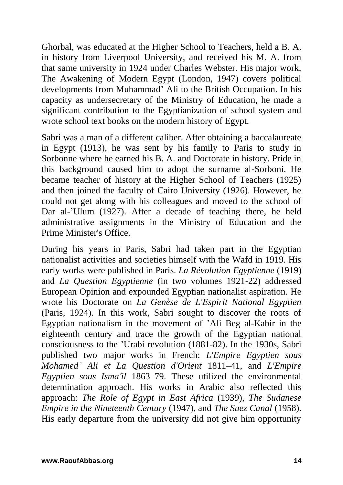Ghorbal, was educated at the Higher School to Teachers, held a B. A. in history from Liverpool University, and received his M. A. from that same university in 1924 under Charles Webster. His major work, The Awakening of Modern Egypt (London, 1947) covers political developments from Muhammad' Ali to the British Occupation. In his capacity as undersecretary of the Ministry of Education, he made a significant contribution to the Egyptianization of school system and wrote school text books on the modern history of Egypt.

Sabri was a man of a different caliber. After obtaining a baccalaureate in Egypt (1913), he was sent by his family to Paris to study in Sorbonne where he earned his B. A. and Doctorate in history. Pride in this background caused him to adopt the surname al-Sorboni. He became teacher of history at the Higher School of Teachers (1925) and then joined the faculty of Cairo University (1926). However, he could not get along with his colleagues and moved to the school of Dar al-'Ulum (1927). After a decade of teaching there, he held administrative assignments in the Ministry of Education and the Prime Minister's Office.

During his years in Paris, Sabri had taken part in the Egyptian nationalist activities and societies himself with the Wafd in 1919. His early works were published in Paris. *La Révolution Egyptienne* (1919) and *La Question Egyptienne* (in two volumes 1921-22) addressed European Opinion and expounded Egyptian nationalist aspiration. He wrote his Doctorate on *La Genèse de L'Espirit National Egyptien*  (Paris, 1924). In this work, Sabri sought to discover the roots of Egyptian nationalism in the movement of 'Ali Beg al-Kabir in the eighteenth century and trace the growth of the Egyptian national consciousness to the 'Urabi revolution (1881-82). In the 1930s, Sabri published two major works in French: *L'Empire Egyptien sous Mohamed' Ali et La Question d'Orient* 1811–41, and *L'Empire Egyptien sous Isma'il* 1863–79. These utilized the environmental determination approach. His works in Arabic also reflected this approach: *The Role of Egypt in East Africa* (1939), *The Sudanese Empire in the Nineteenth Century* (1947), and *The Suez Canal* (1958). His early departure from the university did not give him opportunity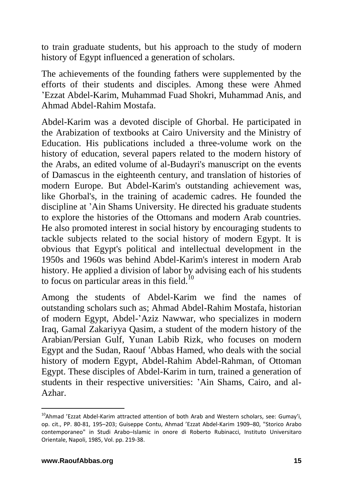to train graduate students, but his approach to the study of modern history of Egypt influenced a generation of scholars.

The achievements of the founding fathers were supplemented by the efforts of their students and disciples. Among these were Ahmed 'Ezzat Abdel-Karim, Muhammad Fuad Shokri, Muhammad Anis, and Ahmad Abdel-Rahim Mostafa.

Abdel-Karim was a devoted disciple of Ghorbal. He participated in the Arabization of textbooks at Cairo University and the Ministry of Education. His publications included a three-volume work on the history of education, several papers related to the modern history of the Arabs, an edited volume of al-Budayri's manuscript on the events of Damascus in the eighteenth century, and translation of histories of modern Europe. But Abdel-Karim's outstanding achievement was, like Ghorbal's, in the training of academic cadres. He founded the discipline at 'Ain Shams University. He directed his graduate students to explore the histories of the Ottomans and modern Arab countries. He also promoted interest in social history by encouraging students to tackle subjects related to the social history of modern Egypt. It is obvious that Egypt's political and intellectual development in the 1950s and 1960s was behind Abdel-Karim's interest in modern Arab history. He applied a division of labor by advising each of his students to focus on particular areas in this field. $^{10}$ 

Among the students of Abdel-Karim we find the names of outstanding scholars such as; Ahmad Abdel-Rahim Mostafa, historian of modern Egypt, Abdel-'Aziz Nawwar, who specializes in modern Iraq, Gamal Zakariyya Qasim, a student of the modern history of the Arabian/Persian Gulf, Yunan Labib Rizk, who focuses on modern Egypt and the Sudan, Raouf 'Abbas Hamed, who deals with the social history of modern Egypt, Abdel-Rahim Abdel-Rahman, of Ottoman Egypt. These disciples of Abdel-Karim in turn, trained a generation of students in their respective universities: 'Ain Shams, Cairo, and al-Azhar.

<sup>&</sup>lt;sup>10</sup>Ahmad 'Ezzat Abdel-Karim attracted attention of both Arab and Western scholars, see: Gumay'i, op. cit., PP. 80-81, 195–203; Guiseppe Contu, Ahmad 'Ezzat Abdel-Karim 1909–80, "Storico Arabo contemporaneo" in Studi Arabo–Islamic in onore di Roberto Rubinacci, Instituto Universitaro Orientale, Napoli, 1985, Vol. pp. 219-38.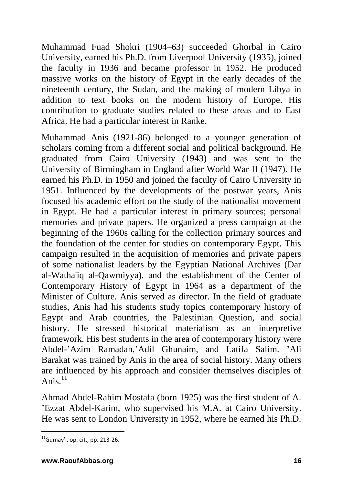Muhammad Fuad Shokri (1904–63) succeeded Ghorbal in Cairo University, earned his Ph.D. from Liverpool University (1935), joined the faculty in 1936 and became professor in 1952. He produced massive works on the history of Egypt in the early decades of the nineteenth century, the Sudan, and the making of modern Libya in addition to text books on the modern history of Europe. His contribution to graduate studies related to these areas and to East Africa. He had a particular interest in Ranke.

Muhammad Anis (1921-86) belonged to a younger generation of scholars coming from a different social and political background. He graduated from Cairo University (1943) and was sent to the University of Birmingham in England after World War II (1947). He earned his Ph.D. in 1950 and joined the faculty of Cairo University in 1951. Influenced by the developments of the postwar years, Anis focused his academic effort on the study of the nationalist movement in Egypt. He had a particular interest in primary sources; personal memories and private papers. He organized a press campaign at the beginning of the 1960s calling for the collection primary sources and the foundation of the center for studies on contemporary Egypt. This campaign resulted in the acquisition of memories and private papers of some nationalist leaders by the Egyptian National Archives (Dar al-Watha'iq al-Qawmiyya), and the establishment of the Center of Contemporary History of Egypt in 1964 as a department of the Minister of Culture. Anis served as director. In the field of graduate studies, Anis had his students study topics contemporary history of Egypt and Arab countries, the Palestinian Question, and social history. He stressed historical materialism as an interpretive framework. His best students in the area of contemporary history were Abdel-'Azim Ramadan,'Adil Ghunaim, and Latifa Salim. 'Ali Barakat was trained by Anis in the area of social history. Many others are influenced by his approach and consider themselves disciples of Anis. $11$ 

Ahmad Abdel-Rahim Mostafa (born 1925) was the first student of A. 'Ezzat Abdel-Karim, who supervised his M.A. at Cairo University. He was sent to London University in 1952, where he earned his Ph.D.

 $11$ Gumay'i, op. cit., pp. 213-26.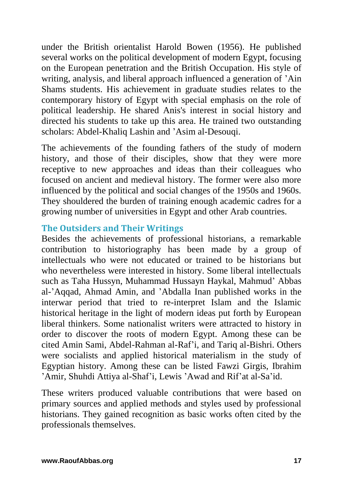under the British orientalist Harold Bowen (1956). He published several works on the political development of modern Egypt, focusing on the European penetration and the British Occupation. His style of writing, analysis, and liberal approach influenced a generation of 'Ain Shams students. His achievement in graduate studies relates to the contemporary history of Egypt with special emphasis on the role of political leadership. He shared Anis's interest in social history and directed his students to take up this area. He trained two outstanding scholars: Abdel-Khaliq Lashin and 'Asim al-Desouqi.

The achievements of the founding fathers of the study of modern history, and those of their disciples, show that they were more receptive to new approaches and ideas than their colleagues who focused on ancient and medieval history. The former were also more influenced by the political and social changes of the 1950s and 1960s. They shouldered the burden of training enough academic cadres for a growing number of universities in Egypt and other Arab countries.

#### **The Outsiders and Their Writings**

Besides the achievements of professional historians, a remarkable contribution to historiography has been made by a group of intellectuals who were not educated or trained to be historians but who nevertheless were interested in history. Some liberal intellectuals such as Taha Hussyn, Muhammad Hussayn Haykal, Mahmud' Abbas al-'Aqqad, Ahmad Amin, and 'Abdalla Inan published works in the interwar period that tried to re-interpret Islam and the Islamic historical heritage in the light of modern ideas put forth by European liberal thinkers. Some nationalist writers were attracted to history in order to discover the roots of modern Egypt. Among these can be cited Amin Sami, Abdel-Rahman al-Raf'i, and Tariq al-Bishri. Others were socialists and applied historical materialism in the study of Egyptian history. Among these can be listed Fawzi Girgis, Ibrahim 'Amir, Shuhdi Attiya al-Shaf'i, Lewis 'Awad and Rif'at al-Sa'id.

These writers produced valuable contributions that were based on primary sources and applied methods and styles used by professional historians. They gained recognition as basic works often cited by the professionals themselves.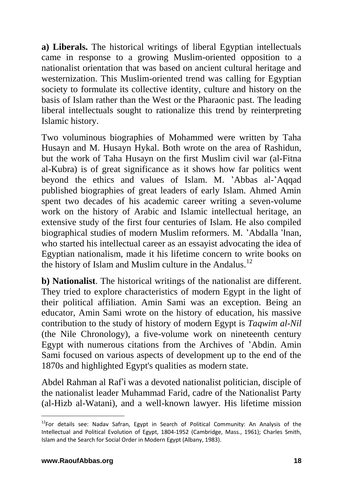**a) Liberals.** The historical writings of liberal Egyptian intellectuals came in response to a growing Muslim-oriented opposition to a nationalist orientation that was based on ancient cultural heritage and westernization. This Muslim-oriented trend was calling for Egyptian society to formulate its collective identity, culture and history on the basis of Islam rather than the West or the Pharaonic past. The leading liberal intellectuals sought to rationalize this trend by reinterpreting Islamic history.

Two voluminous biographies of Mohammed were written by Taha Husayn and M. Husayn Hykal. Both wrote on the area of Rashidun, but the work of Taha Husayn on the first Muslim civil war (al-Fitna al-Kubra) is of great significance as it shows how far politics went beyond the ethics and values of Islam. M. 'Abbas al-'Aqqad published biographies of great leaders of early Islam. Ahmed Amin spent two decades of his academic career writing a seven-volume work on the history of Arabic and Islamic intellectual heritage, an extensive study of the first four centuries of Islam. He also compiled biographical studies of modern Muslim reformers. M. 'Abdalla 'Inan, who started his intellectual career as an essayist advocating the idea of Egyptian nationalism, made it his lifetime concern to write books on the history of Islam and Muslim culture in the Andalus.<sup>12</sup>

**b) Nationalist**. The historical writings of the nationalist are different. They tried to explore characteristics of modern Egypt in the light of their political affiliation. Amin Sami was an exception. Being an educator, Amin Sami wrote on the history of education, his massive contribution to the study of history of modern Egypt is *Taqwim al-Nil* (the Nile Chronology), a five-volume work on nineteenth century Egypt with numerous citations from the Archives of 'Abdin. Amin Sami focused on various aspects of development up to the end of the 1870s and highlighted Egypt's qualities as modern state.

Abdel Rahman al Raf'i was a devoted nationalist politician, disciple of the nationalist leader Muhammad Farid, cadre of the Nationalist Party (al-Hizb al-Watani), and a well-known lawyer. His lifetime mission

 $12$ For details see: Nadav Safran, Egypt in Search of Political Community: An Analysis of the Intellectual and Political Evolution of Egypt, 1804-1952 (Cambridge, Mass., 1961); Charles Smith, Islam and the Search for Social Order in Modern Egypt (Albany, 1983).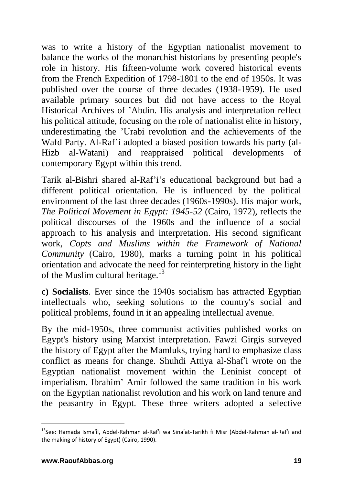was to write a history of the Egyptian nationalist movement to balance the works of the monarchist historians by presenting people's role in history. His fifteen-volume work covered historical events from the French Expedition of 1798-1801 to the end of 1950s. It was published over the course of three decades (1938-1959). He used available primary sources but did not have access to the Royal Historical Archives of 'Abdin. His analysis and interpretation reflect his political attitude, focusing on the role of nationalist elite in history, underestimating the 'Urabi revolution and the achievements of the Wafd Party. Al-Raf'i adopted a biased position towards his party (al-Hizb al-Watani) and reappraised political developments of contemporary Egypt within this trend.

Tarik al-Bishri shared al-Raf'i's educational background but had a different political orientation. He is influenced by the political environment of the last three decades (1960s-1990s). His major work, *The Political Movement in Egypt: 1945-52* (Cairo, 1972), reflects the political discourses of the 1960s and the influence of a social approach to his analysis and interpretation. His second significant work, *Copts and Muslims within the Framework of National Community* (Cairo, 1980), marks a turning point in his political orientation and advocate the need for reinterpreting history in the light of the Muslim cultural heritage.<sup>13</sup>

**c) Socialists**. Ever since the 1940s socialism has attracted Egyptian intellectuals who, seeking solutions to the country's social and political problems, found in it an appealing intellectual avenue.

By the mid-1950s, three communist activities published works on Egypt's history using Marxist interpretation. Fawzi Girgis surveyed the history of Egypt after the Mamluks, trying hard to emphasize class conflict as means for change. Shuhdi Attiya al-Shaf'i wrote on the Egyptian nationalist movement within the Leninist concept of imperialism. Ibrahim' Amir followed the same tradition in his work on the Egyptian nationalist revolution and his work on land tenure and the peasantry in Egypt. These three writers adopted a selective

<sup>&</sup>lt;sup>13</sup>See: Hamada Isma'il, Abdel-Rahman al-Raf'i wa Sina'at-Tarikh fi Misr (Abdel-Rahman al-Raf'i and the making of history of Egypt) (Cairo, 1990).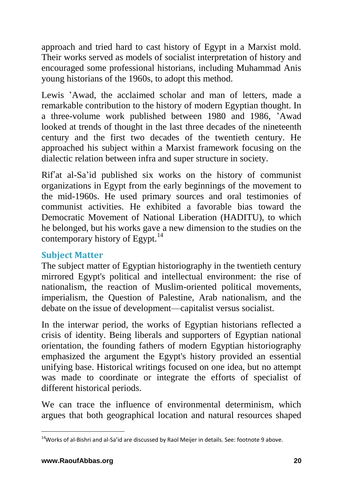approach and tried hard to cast history of Egypt in a Marxist mold. Their works served as models of socialist interpretation of history and encouraged some professional historians, including Muhammad Anis young historians of the 1960s, to adopt this method.

Lewis 'Awad, the acclaimed scholar and man of letters, made a remarkable contribution to the history of modern Egyptian thought. In a three-volume work published between 1980 and 1986, 'Awad looked at trends of thought in the last three decades of the nineteenth century and the first two decades of the twentieth century. He approached his subject within a Marxist framework focusing on the dialectic relation between infra and super structure in society.

Rif'at al-Sa'id published six works on the history of communist organizations in Egypt from the early beginnings of the movement to the mid-1960s. He used primary sources and oral testimonies of communist activities. He exhibited a favorable bias toward the Democratic Movement of National Liberation (HADITU), to which he belonged, but his works gave a new dimension to the studies on the contemporary history of Egypt.<sup>14</sup>

#### **Subject Matter**

The subject matter of Egyptian historiography in the twentieth century mirrored Egypt's political and intellectual environment: the rise of nationalism, the reaction of Muslim-oriented political movements, imperialism, the Question of Palestine, Arab nationalism, and the debate on the issue of development—capitalist versus socialist.

In the interwar period, the works of Egyptian historians reflected a crisis of identity. Being liberals and supporters of Egyptian national orientation, the founding fathers of modern Egyptian historiography emphasized the argument the Egypt's history provided an essential unifying base. Historical writings focused on one idea, but no attempt was made to coordinate or integrate the efforts of specialist of different historical periods.

We can trace the influence of environmental determinism, which argues that both geographical location and natural resources shaped

 $14$ Works of al-Bishri and al-Sa'id are discussed by Raol Meijer in details. See: footnote 9 above.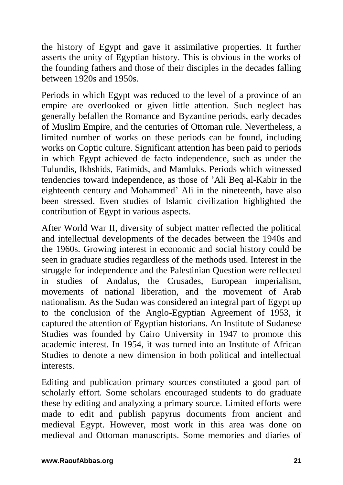the history of Egypt and gave it assimilative properties. It further asserts the unity of Egyptian history. This is obvious in the works of the founding fathers and those of their disciples in the decades falling between 1920s and 1950s.

Periods in which Egypt was reduced to the level of a province of an empire are overlooked or given little attention. Such neglect has generally befallen the Romance and Byzantine periods, early decades of Muslim Empire, and the centuries of Ottoman rule. Nevertheless, a limited number of works on these periods can be found, including works on Coptic culture. Significant attention has been paid to periods in which Egypt achieved de facto independence, such as under the Tulundis, Ikhshids, Fatimids, and Mamluks. Periods which witnessed tendencies toward independence, as those of 'Ali Beq al-Kabir in the eighteenth century and Mohammed' Ali in the nineteenth, have also been stressed. Even studies of Islamic civilization highlighted the contribution of Egypt in various aspects.

After World War II, diversity of subject matter reflected the political and intellectual developments of the decades between the 1940s and the 1960s. Growing interest in economic and social history could be seen in graduate studies regardless of the methods used. Interest in the struggle for independence and the Palestinian Question were reflected in studies of Andalus, the Crusades, European imperialism, movements of national liberation, and the movement of Arab nationalism. As the Sudan was considered an integral part of Egypt up to the conclusion of the Anglo-Egyptian Agreement of 1953, it captured the attention of Egyptian historians. An Institute of Sudanese Studies was founded by Cairo University in 1947 to promote this academic interest. In 1954, it was turned into an Institute of African Studies to denote a new dimension in both political and intellectual interests.

Editing and publication primary sources constituted a good part of scholarly effort. Some scholars encouraged students to do graduate these by editing and analyzing a primary source. Limited efforts were made to edit and publish papyrus documents from ancient and medieval Egypt. However, most work in this area was done on medieval and Ottoman manuscripts. Some memories and diaries of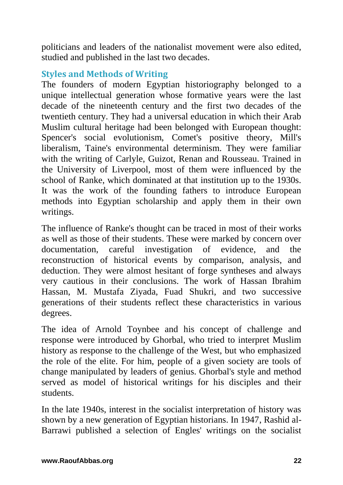politicians and leaders of the nationalist movement were also edited, studied and published in the last two decades.

### **Styles and Methods of Writing**

The founders of modern Egyptian historiography belonged to a unique intellectual generation whose formative years were the last decade of the nineteenth century and the first two decades of the twentieth century. They had a universal education in which their Arab Muslim cultural heritage had been belonged with European thought: Spencer's social evolutionism, Comet's positive theory, Mill's liberalism, Taine's environmental determinism. They were familiar with the writing of Carlyle, Guizot, Renan and Rousseau. Trained in the University of Liverpool, most of them were influenced by the school of Ranke, which dominated at that institution up to the 1930s. It was the work of the founding fathers to introduce European methods into Egyptian scholarship and apply them in their own writings.

The influence of Ranke's thought can be traced in most of their works as well as those of their students. These were marked by concern over documentation, careful investigation of evidence, and the reconstruction of historical events by comparison, analysis, and deduction. They were almost hesitant of forge syntheses and always very cautious in their conclusions. The work of Hassan Ibrahim Hassan, M. Mustafa Ziyada, Fuad Shukri, and two successive generations of their students reflect these characteristics in various degrees.

The idea of Arnold Toynbee and his concept of challenge and response were introduced by Ghorbal, who tried to interpret Muslim history as response to the challenge of the West, but who emphasized the role of the elite. For him, people of a given society are tools of change manipulated by leaders of genius. Ghorbal's style and method served as model of historical writings for his disciples and their students.

In the late 1940s, interest in the socialist interpretation of history was shown by a new generation of Egyptian historians. In 1947, Rashid al-Barrawi published a selection of Engles' writings on the socialist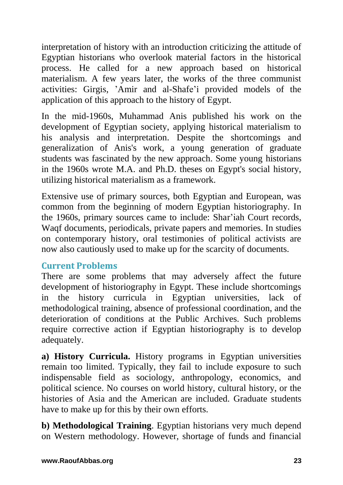interpretation of history with an introduction criticizing the attitude of Egyptian historians who overlook material factors in the historical process. He called for a new approach based on historical materialism. A few years later, the works of the three communist activities: Girgis, 'Amir and al-Shafe'i provided models of the application of this approach to the history of Egypt.

In the mid-1960s, Muhammad Anis published his work on the development of Egyptian society, applying historical materialism to his analysis and interpretation. Despite the shortcomings and generalization of Anis's work, a young generation of graduate students was fascinated by the new approach. Some young historians in the 1960s wrote M.A. and Ph.D. theses on Egypt's social history, utilizing historical materialism as a framework.

Extensive use of primary sources, both Egyptian and European, was common from the beginning of modern Egyptian historiography. In the 1960s, primary sources came to include: Shar'iah Court records, Waqf documents, periodicals, private papers and memories. In studies on contemporary history, oral testimonies of political activists are now also cautiously used to make up for the scarcity of documents.

## **Current Problems**

There are some problems that may adversely affect the future development of historiography in Egypt. These include shortcomings in the history curricula in Egyptian universities, lack of methodological training, absence of professional coordination, and the deterioration of conditions at the Public Archives. Such problems require corrective action if Egyptian historiography is to develop adequately.

**a) History Curricula.** History programs in Egyptian universities remain too limited. Typically, they fail to include exposure to such indispensable field as sociology, anthropology, economics, and political science. No courses on world history, cultural history, or the histories of Asia and the American are included. Graduate students have to make up for this by their own efforts.

**b) Methodological Training**. Egyptian historians very much depend on Western methodology. However, shortage of funds and financial